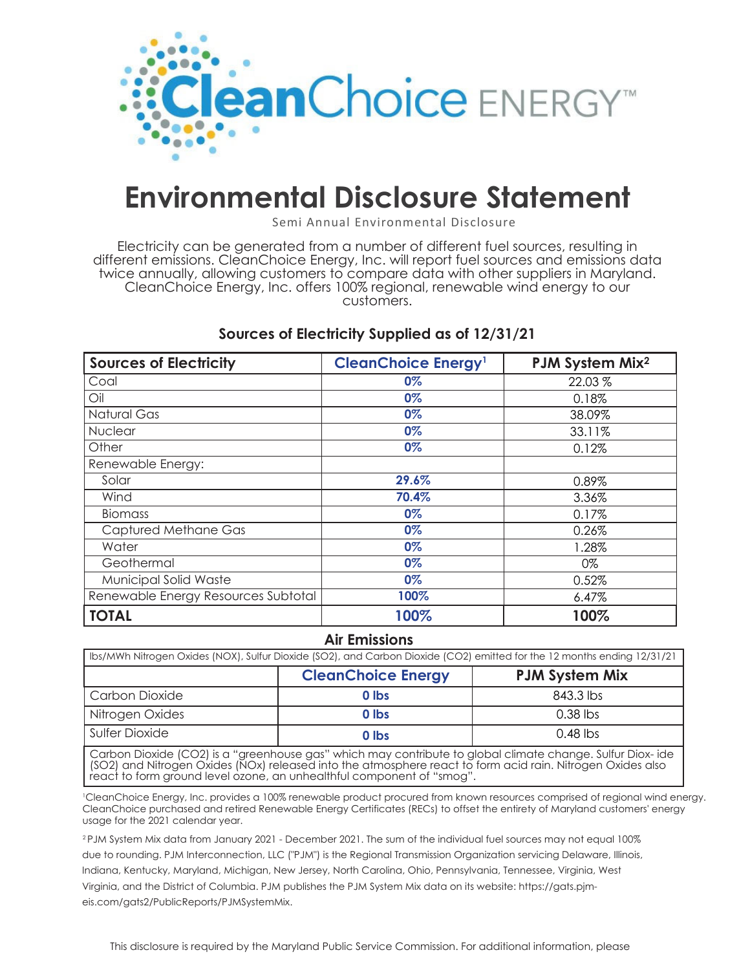

## **Environmental Disclosure Statement**

Semi Annual Environmental Disclosure

Electricity can be generated from a number of different fuel sources, resulting in different emissions. CleanChoice Energy, Inc. will report fuel sources and emissions data twice annually, allowing customers to compare data with other suppliers in Maryland. CleanChoice Energy, Inc. offers 100% regional, renewable wind energy to our customers.

## **Sources of Electricity Supplied as of 12/31/21**

| <b>Sources of Electricity</b>       | <b>CleanChoice Energy<sup>1</sup></b> | PJM System Mix <sup>2</sup> |
|-------------------------------------|---------------------------------------|-----------------------------|
| Coal                                | 0%                                    | 22.03 %                     |
| Oil                                 | 0%                                    | 0.18%                       |
| Natural Gas                         | 0%                                    | 38.09%                      |
| <b>Nuclear</b>                      | 0%                                    | 33.11%                      |
| Other                               | 0%                                    | 0.12%                       |
| Renewable Energy:                   |                                       |                             |
| Solar                               | 29.6%                                 | 0.89%                       |
| Wind                                | 70.4%                                 | 3.36%                       |
| <b>Biomass</b>                      | $0\%$                                 | 0.17%                       |
| Captured Methane Gas                | 0%                                    | 0.26%                       |
| Water                               | 0%                                    | 1.28%                       |
| Geothermal                          | 0%                                    | 0%                          |
| Municipal Solid Waste               | $0\%$                                 | 0.52%                       |
| Renewable Energy Resources Subtotal | 100%                                  | $6.47\%$                    |
| <b>TOTAL</b>                        | 100%                                  | 100%                        |

## **Air Emissions**

| Ibs/MWh Nitrogen Oxides (NOX), Sulfur Dioxide (SO2), and Carbon Dioxide (CO2) emitted for the 12 months ending 12/31/21 |                           |                       |  |
|-------------------------------------------------------------------------------------------------------------------------|---------------------------|-----------------------|--|
|                                                                                                                         | <b>CleanChoice Energy</b> | <b>PJM System Mix</b> |  |
| Carbon Dioxide                                                                                                          | 0 lbs                     | 843.3 lbs             |  |
| Nitrogen Oxides                                                                                                         | 0 lbs                     | $0.38$ lbs            |  |
| Sulfer Dioxide                                                                                                          | 0 lbs                     | $0.48$ lbs            |  |

Carbon Dioxide (CO2) is a "greenhouse gas" which may contribute to global climate change. Sulfur Diox- ide (SO2) and Nitrogen Oxides (NOx) released into the atmosphere react to form acid rain. Nitrogen Oxides also react to form ground level ozone, an unhealthful component of "smog".

1 CleanChoice Energy, Inc. provides a 100% renewable product procured from known resources comprised of regional wind energy. CleanChoice purchased and retired Renewable Energy Certificates (RECs) to offset the entirety of Maryland customers' energy usage for the 2021 calendar year.

2 PJM System Mix data from January 2021 - December 2021. The sum of the individual fuel sources may not equal 100% due to rounding. PJM Interconnection, LLC ("PJM") is the Regional Transmission Organization servicing Delaware, Illinois, Indiana, Kentucky, Maryland, Michigan, New Jersey, North Carolina, Ohio, Pennsylvania, Tennessee, Virginia, West Virginia, and the District of Columbia. PJM publishes the PJM System Mix data on its website: https://gats.pjmeis.com/gats2/PublicReports/PJMSystemMix.